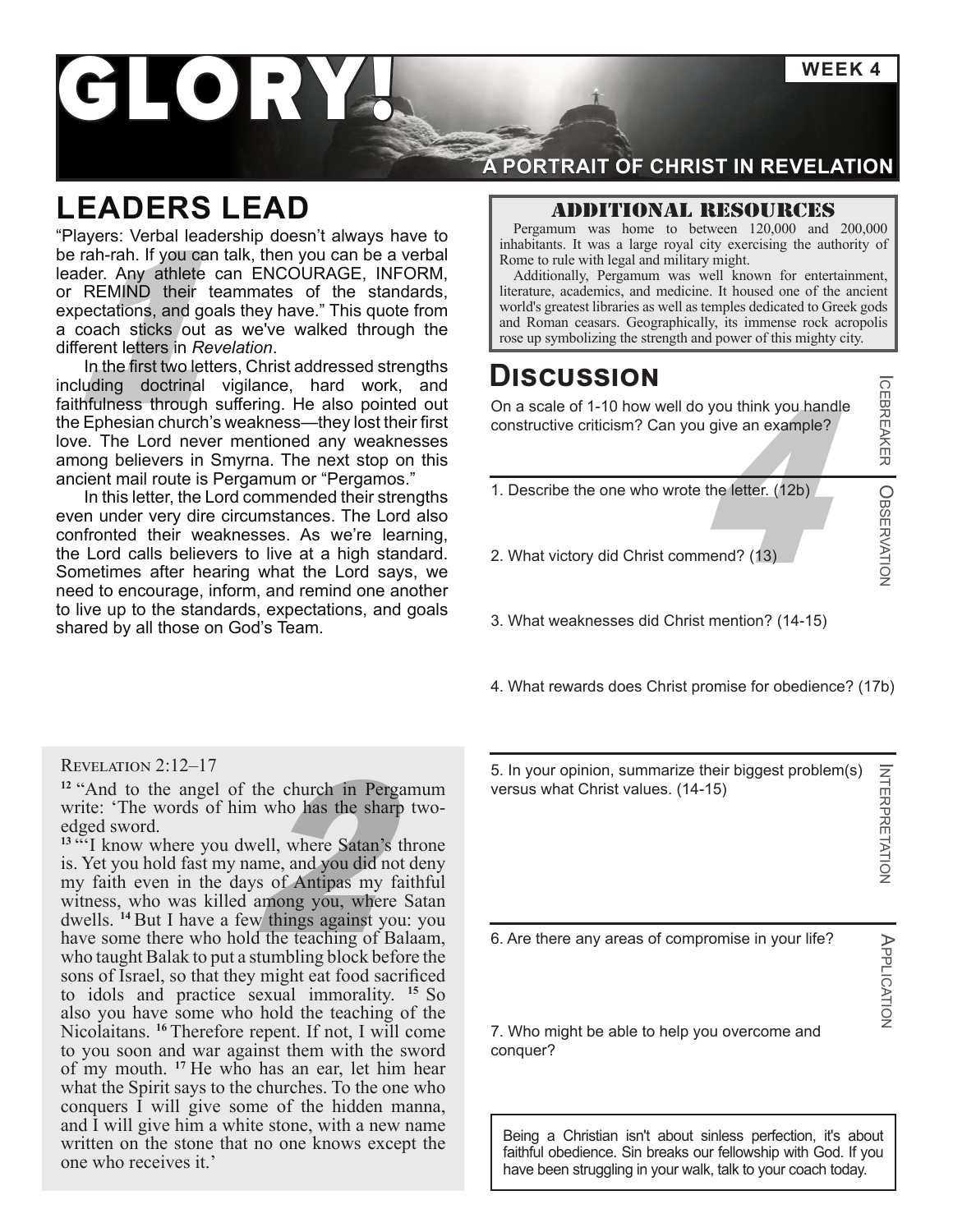**WEEK 4**

ICEBREAKER

OBSERVATION

APPLICATION

APPLICATION

# LORY

### **LEADERS LEAD**

Frack Roman ceasars. Geographically, its immense rock acropolis and military might.<br>
Roman ceasars with legal and military might.<br>
Roman ceasars with legal and military might.<br>
Additionally, Pergamum was well and military "Players: Verbal leadership doesn't always have to be rah-rah. If you can talk, then you can be a verbal leader. Any athlete can ENCOURAGE, INFORM, or REMIND their teammates of the standards, expectations, and goals they have." This quote from a coach sticks out as we've walked through the different letters in *Revelation*.

In the first two letters, Christ addressed strengths including doctrinal vigilance, hard work, and faithfulness through suffering. He also pointed out the Ephesian church's weakness—they lost their first love. The Lord never mentioned any weaknesses among believers in Smyrna. The next stop on this ancient mail route is Pergamum or "Pergamos."

In this letter, the Lord commended their strengths even under very dire circumstances. The Lord also confronted their weaknesses. As we're learning, the Lord calls believers to live at a high standard. Sometimes after hearing what the Lord says, we need to encourage, inform, and remind one another to live up to the standards, expectations, and goals shared by all those on God's Team.

#### Revelation 2:12–17

**<sup>12</sup>** "And to the angel of the church in Pergamum write: 'The words of him who has the sharp twoedged sword.

2 <sup>13 ""</sup>I know where you dwell, where Satan's throne is. Yet you hold fast my name, and you did not deny my faith even in the days of Antipas my faithful witness, who was killed among you, where Satan dwells. **<sup>14</sup>** But I have a few things against you: you have some there who hold the teaching of Balaam, who taught Balak to put a stumbling block before the sons of Israel, so that they might eat food sacrificed to idols and practice sexual immorality. **<sup>15</sup>** So also you have some who hold the teaching of the Nicolaitans. **<sup>16</sup>** Therefore repent. If not, I will come to you soon and war against them with the sword of my mouth. **<sup>17</sup>** He who has an ear, let him hear what the Spirit says to the churches. To the one who conquers I will give some of the hidden manna, and I will give him a white stone, with a new name written on the stone that no one knows except the one who receives it.'

### **A PORTRAIT OF CHRIST IN REVELATION**

#### Additional resources

Pergamum was home to between 120,000 and 200,000 inhabitants. It was a large royal city exercising the authority of Rome to rule with legal and military might.

Additionally, Pergamum was well known for entertainment, literature, academics, and medicine. It housed one of the ancient world's greatest libraries as well as temples dedicated to Greek gods

### **Discussion**

u give an example?<br>
a the letter. (12b)<br>
the letter. (12b)<br>
umend? (13) On a scale of 1-10 how well do you think you handle constructive criticism? Can you give an example?

1. Describe the one who wrote the letter. (12b)

2. What victory did Christ commend? (13)

3. What weaknesses did Christ mention? (14-15)

4. What rewards does Christ promise for obedience? (17b)

5. In your opinion, summarize their biggest problem(s) **INTERPRETATION** INTERPRETATION versus what Christ values. (14-15)

6. Are there any areas of compromise in your life?

7. Who might be able to help you overcome and conquer?

Being a Christian isn't about sinless perfection, it's about faithful obedience. Sin breaks our fellowship with God. If you have been struggling in your walk, talk to your coach today.